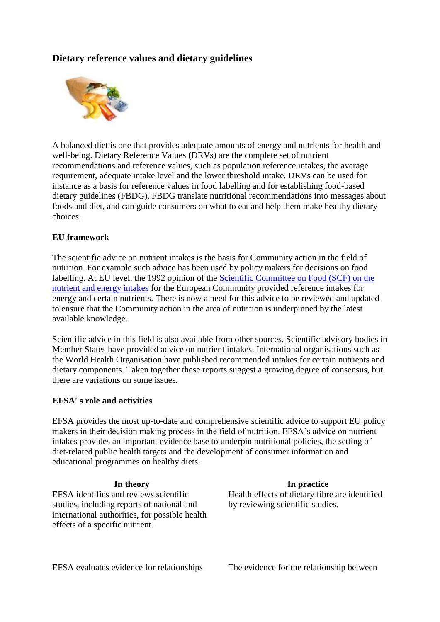# **Dietary reference values and dietary guidelines**



A balanced diet is one that provides adequate amounts of energy and nutrients for health and well-being. Dietary Reference Values (DRVs) are the complete set of nutrient recommendations and reference values, such as population reference intakes, the average requirement, adequate intake level and the lower threshold intake. DRVs can be used for instance as a basis for reference values in food labelling and for establishing food-based dietary guidelines (FBDG). FBDG translate nutritional recommendations into messages about foods and diet, and can guide consumers on what to eat and help them make healthy dietary choices.

### **EU framework**

The scientific advice on nutrient intakes is the basis for Community action in the field of nutrition. For example such advice has been used by policy makers for decisions on food labelling. At EU level, the 1992 opinion of the [Scientific Committee on Food \(SCF\) on the](http://ec.europa.eu/food/fs/sc/scf/out80_en.html)  [nutrient and energy intakes](http://ec.europa.eu/food/fs/sc/scf/out80_en.html) for the European Community provided reference intakes for energy and certain nutrients. There is now a need for this advice to be reviewed and updated to ensure that the Community action in the area of nutrition is underpinned by the latest available knowledge.

Scientific advice in this field is also available from other sources. Scientific advisory bodies in Member States have provided advice on nutrient intakes. International organisations such as the World Health Organisation have published recommended intakes for certain nutrients and dietary components. Taken together these reports suggest a growing degree of consensus, but there are variations on some issues.

#### **EFSA' s role and activities**

EFSA provides the most up-to-date and comprehensive scientific advice to support EU policy makers in their decision making process in the field of nutrition. EFSA's advice on nutrient intakes provides an important evidence base to underpin nutritional policies, the setting of diet-related public health targets and the development of consumer information and educational programmes on healthy diets.

#### **In theory**

EFSA identifies and reviews scientific studies, including reports of national and international authorities, for possible health effects of a specific nutrient.

**In practice** Health effects of dietary fibre are identified by reviewing scientific studies.

EFSA evaluates evidence for relationships The evidence for the relationship between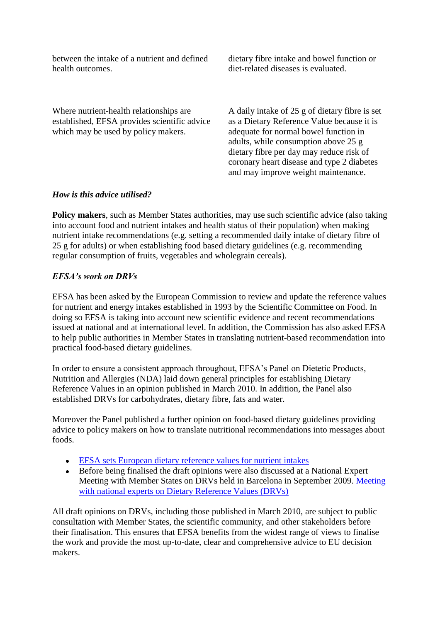between the intake of a nutrient and defined health outcomes.

dietary fibre intake and bowel function or diet-related diseases is evaluated.

Where nutrient-health relationships are established, EFSA provides scientific advice which may be used by policy makers.

A daily intake of 25 g of dietary fibre is set as a Dietary Reference Value because it is adequate for normal bowel function in adults, while consumption above 25 g dietary fibre per day may reduce risk of coronary heart disease and type 2 diabetes and may improve weight maintenance.

### *How is this advice utilised?*

**Policy makers**, such as Member States authorities, may use such scientific advice (also taking into account food and nutrient intakes and health status of their population) when making nutrient intake recommendations (e.g. setting a recommended daily intake of dietary fibre of 25 g for adults) or when establishing food based dietary guidelines (e.g. recommending regular consumption of fruits, vegetables and wholegrain cereals).

### *EFSA's work on DRVs*

EFSA has been asked by the European Commission to review and update the reference values for nutrient and energy intakes established in 1993 by the Scientific Committee on Food. In doing so EFSA is taking into account new scientific evidence and recent recommendations issued at national and at international level. In addition, the Commission has also asked EFSA to help public authorities in Member States in translating nutrient-based recommendation into practical food-based dietary guidelines.

In order to ensure a consistent approach throughout, EFSA's Panel on Dietetic Products, Nutrition and Allergies (NDA) laid down general principles for establishing Dietary Reference Values in an opinion published in March 2010. In addition, the Panel also established DRVs for carbohydrates, dietary fibre, fats and water.

Moreover the Panel published a further opinion on food-based dietary guidelines providing advice to policy makers on how to translate nutritional recommendations into messages about foods.

- EFSA sets European [dietary reference values for nutrient intakes](http://www.efsa.europa.eu/en/press/news/nda100326.htm)
- Before being finalised the draft opinions were also discussed at a National Expert Meeting with Member States on DRVs held in Barcelona in September 2009. [Meeting](http://www.efsa.europa.eu/en/events/event/af090907.htm)  [with national experts on Dietary Reference Values \(DRVs\)](http://www.efsa.europa.eu/en/events/event/af090907.htm)

All draft opinions on DRVs, including those published in March 2010, are subject to public consultation with Member States, the scientific community, and other stakeholders before their finalisation. This ensures that EFSA benefits from the widest range of views to finalise the work and provide the most up-to-date, clear and comprehensive advice to EU decision makers.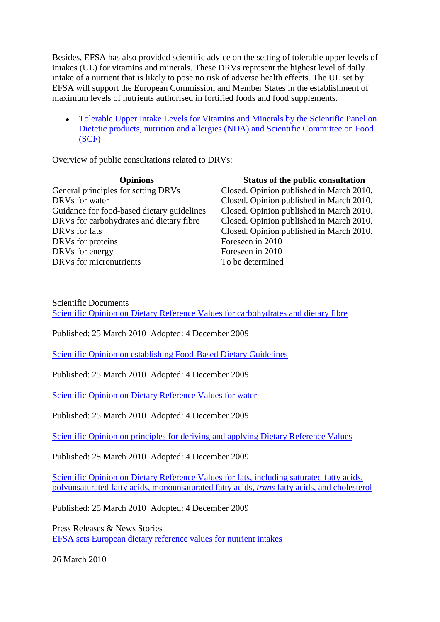Besides, EFSA has also provided scientific advice on the setting of tolerable upper levels of intakes (UL) for vitamins and minerals. These DRVs represent the highest level of daily intake of a nutrient that is likely to pose no risk of adverse health effects. The UL set by EFSA will support the European Commission and Member States in the establishment of maximum levels of nutrients authorised in fortified foods and food supplements.

[Tolerable Upper Intake Levels for Vitamins and Minerals by the Scientific Panel on](http://www.efsa.europa.eu/cs/Satellite?c=Scientific_Document&childpagename=EFSA%2FLayout&cid=1178633962601&pagename=Wrapper%2FCommon)  Dietetic products, nutrition and allergies (NDA) and Scientific Committee on Food [\(SCF\)](http://www.efsa.europa.eu/cs/Satellite?c=Scientific_Document&childpagename=EFSA%2FLayout&cid=1178633962601&pagename=Wrapper%2FCommon)

Overview of public consultations related to DRVs:

| <b>Opinions</b>                            | <b>Status of the public consultation</b> |
|--------------------------------------------|------------------------------------------|
| General principles for setting DRVs        | Closed. Opinion published in March 2010. |
| DRVs for water                             | Closed. Opinion published in March 2010. |
| Guidance for food-based dietary guidelines | Closed. Opinion published in March 2010. |
| DRVs for carbohydrates and dietary fibre   | Closed. Opinion published in March 2010. |
| DRVs for fats                              | Closed. Opinion published in March 2010. |
| DRVs for proteins                          | Foreseen in 2010                         |
| DRVs for energy                            | Foreseen in 2010                         |
| DRVs for micronutrients                    | To be determined                         |

Scientific Documents [Scientific Opinion on Dietary Reference Values for carbohydrates and dietary fibre](http://www.efsa.europa.eu/en/scdocs/scdoc/1462.htm) 

Published: 25 March 2010 Adopted: 4 December 2009

[Scientific Opinion on establishing Food-Based Dietary Guidelines](http://www.efsa.europa.eu/en/scdocs/scdoc/1460.htm) 

Published: 25 March 2010 Adopted: 4 December 2009

[Scientific Opinion on Dietary Reference Values for water](http://www.efsa.europa.eu/en/scdocs/scdoc/1459.htm) 

Published: 25 March 2010 Adopted: 4 December 2009

[Scientific Opinion on principles for deriving and applying Dietary Reference Values](http://www.efsa.europa.eu/en/scdocs/scdoc/1458.htm) 

Published: 25 March 2010 Adopted: 4 December 2009

[Scientific Opinion on Dietary Reference Values for fats, including saturated fatty acids,](http://www.efsa.europa.eu/en/scdocs/scdoc/1461.htm)  [polyunsaturated fatty acids, monounsaturated fatty acids,](http://www.efsa.europa.eu/en/scdocs/scdoc/1461.htm) *trans* fatty acids, and cholesterol

Published: 25 March 2010 Adopted: 4 December 2009

Press Releases & News Stories [EFSA sets European dietary reference values for nutrient intakes](http://www.efsa.europa.eu/en/press/news/nda100326.htm)

26 March 2010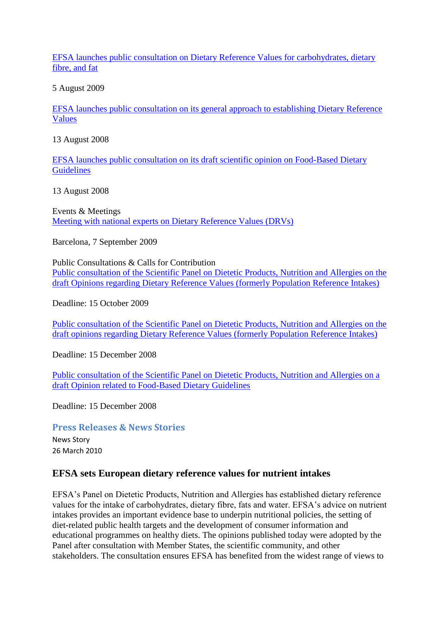[EFSA launches public consultation on Dietary Reference Values for carbohydrates, dietary](http://www.efsa.europa.eu/en/press/news/nda090805.htm)  [fibre, and fat](http://www.efsa.europa.eu/en/press/news/nda090805.htm)

5 August 2009

[EFSA launches public consultation on its general approach to establishing Dietary Reference](http://www.efsa.europa.eu/en/press/news/nda080813.htm)  [Values](http://www.efsa.europa.eu/en/press/news/nda080813.htm)

13 August 2008

[EFSA launches public consultation on its draft scientific opinion on Food-Based Dietary](http://www.efsa.europa.eu/en/press/news/nda080813b.htm)  **[Guidelines](http://www.efsa.europa.eu/en/press/news/nda080813b.htm)** 

13 August 2008

Events & Meetings [Meeting with national experts on Dietary Reference Values \(DRVs\)](http://www.efsa.europa.eu/en/events/event/af090907.htm)

Barcelona, 7 September 2009

Public Consultations & Calls for Contribution [Public consultation of the Scientific Panel on Dietetic Products, Nutrition and Allergies on the](http://www.efsa.europa.eu/en/consultationsclosed/call/nda090805.htm)  [draft Opinions regarding Dietary Reference Values \(formerly Population Reference Intakes\)](http://www.efsa.europa.eu/en/consultationsclosed/call/nda090805.htm)

Deadline: 15 October 2009

[Public consultation of the Scientific Panel on Dietetic Products, Nutrition and Allergies on the](http://www.efsa.europa.eu/en/consultationsclosed/call/nda080808b.htm)  [draft opinions regarding Dietary Reference Values \(formerly Population Reference](http://www.efsa.europa.eu/en/consultationsclosed/call/nda080808b.htm) Intakes)

Deadline: 15 December 2008

[Public consultation of the Scientific Panel on Dietetic Products, Nutrition and Allergies on a](http://www.efsa.europa.eu/en/consultationsclosed/call/nda080808.htm)  [draft Opinion related to Food-Based Dietary Guidelines](http://www.efsa.europa.eu/en/consultationsclosed/call/nda080808.htm)

Deadline: 15 December 2008

**Press Releases & News Stories** News Story 26 March 2010

### **EFSA sets European dietary reference values for nutrient intakes**

EFSA's Panel on Dietetic Products, Nutrition and Allergies has established dietary reference values for the intake of carbohydrates, dietary fibre, fats and water. EFSA's advice on nutrient intakes provides an important evidence base to underpin nutritional policies, the setting of diet-related public health targets and the development of consumer information and educational programmes on healthy diets. The opinions published today were adopted by the Panel after consultation with Member States, the scientific community, and other stakeholders. The consultation ensures EFSA has benefited from the widest range of views to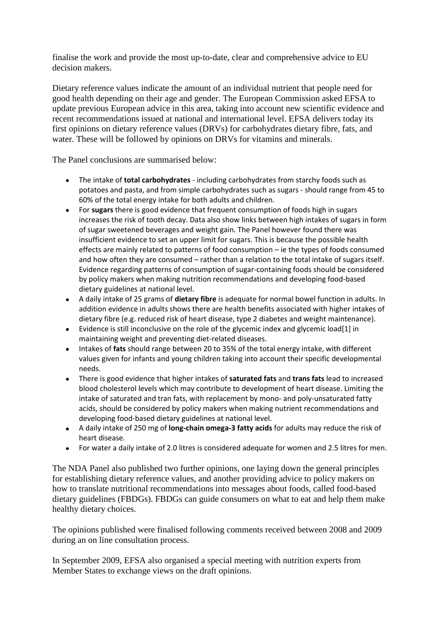finalise the work and provide the most up-to-date, clear and comprehensive advice to EU decision makers.

Dietary reference values indicate the amount of an individual nutrient that people need for good health depending on their age and gender. The European Commission asked EFSA to update previous European advice in this area, taking into account new scientific evidence and recent recommendations issued at national and international level. EFSA delivers today its first opinions on dietary reference values (DRVs) for carbohydrates dietary fibre, fats, and water. These will be followed by opinions on DRVs for vitamins and minerals.

The Panel conclusions are summarised below:

- The intake of **total carbohydrates** including carbohydrates from starchy foods such as potatoes and pasta, and from simple carbohydrates such as sugars - should range from 45 to 60% of the total energy intake for both adults and children.
- For **sugars** there is good evidence that frequent consumption of foods high in sugars increases the risk of tooth decay. Data also show links between high intakes of sugars in form of sugar sweetened beverages and weight gain. The Panel however found there was insufficient evidence to set an upper limit for sugars. This is because the possible health effects are mainly related to patterns of food consumption – ie the types of foods consumed and how often they are consumed – rather than a relation to the total intake of sugars itself. Evidence regarding patterns of consumption of sugar-containing foods should be considered by policy makers when making nutrition recommendations and developing food-based dietary guidelines at national level.
- A daily intake of 25 grams of **dietary fibre** is adequate for normal bowel function in adults. In addition evidence in adults shows there are health benefits associated with higher intakes of dietary fibre (e.g. reduced risk of heart disease, type 2 diabetes and weight maintenance).
- Evidence is still inconclusive on the role of the glycemic index and glycemic load[1] in maintaining weight and preventing diet-related diseases.
- Intakes of **fats** should range between 20 to 35% of the total energy intake, with different values given for infants and young children taking into account their specific developmental needs.
- There is good evidence that higher intakes of **saturated fats** and **trans fats** lead to increased blood cholesterol levels which may contribute to development of heart disease. Limiting the intake of saturated and tran fats, with replacement by mono- and poly-unsaturated fatty acids, should be considered by policy makers when making nutrient recommendations and developing food-based dietary guidelines at national level.
- A daily intake of 250 mg of **long-chain omega-3 fatty acids** for adults may reduce the risk of heart disease.
- For water a daily intake of 2.0 litres is considered adequate for women and 2.5 litres for men.

The NDA Panel also published two further opinions, one laying down the general principles for establishing dietary reference values, and another providing advice to policy makers on how to translate nutritional recommendations into messages about foods, called food-based dietary guidelines (FBDGs). FBDGs can guide consumers on what to eat and help them make healthy dietary choices.

The opinions published were finalised following comments received between 2008 and 2009 during an on line consultation process.

In September 2009, EFSA also organised a special meeting with nutrition experts from Member States to exchange views on the draft opinions.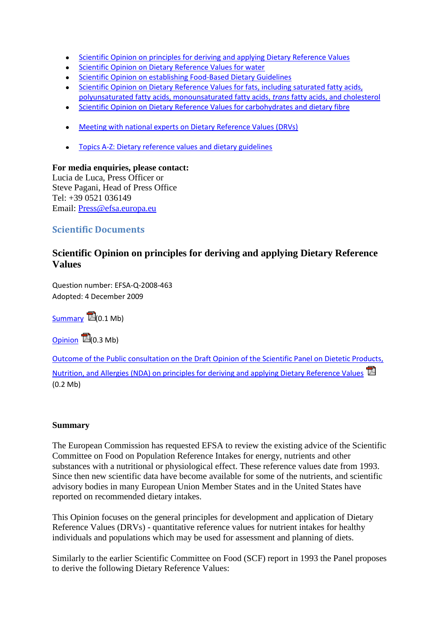- [Scientific Opinion on principles for deriving and applying Dietary Reference Values](http://www.efsa.europa.eu/en/scdocs/scdoc/1458.htm)
- **[Scientific Opinion on Dietary Reference Values for water](http://www.efsa.europa.eu/en/scdocs/scdoc/1459.htm)**
- **•** [Scientific Opinion on establishing Food-Based Dietary Guidelines](http://www.efsa.europa.eu/en/scdocs/scdoc/1460.htm)
- [Scientific Opinion on Dietary Reference Values for fats, including saturated fatty acids,](http://www.efsa.europa.eu/en/scdocs/scdoc/1461.htm)  [polyunsaturated fatty acids, monounsaturated fatty acids,](http://www.efsa.europa.eu/en/scdocs/scdoc/1461.htm) *trans* fatty acids, and cholesterol
- [Scientific Opinion on Dietary Reference Values for carbohydrates and dietary fibre](http://www.efsa.europa.eu/en/scdocs/scdoc/1462.htm)
- [Meeting with national experts on Dietary Reference Values \(DRVs\)](http://www.efsa.europa.eu/en/events/event/af090907.htm)
- [Topics A-Z: Dietary reference values and dietary guidelines](http://www.efsa.europa.eu/en/ndatopics/topic/drv.htm)  $\bullet$

#### **For media enquiries, please contact:**  Lucia de Luca, Press Officer or Steve Pagani, Head of Press Office Tel: +39 0521 036149 Email: [Press@efsa.europa.eu](mailto:Press@efsa.europa.eu)

### **Scientific Documents**

# **Scientific Opinion on principles for deriving and applying Dietary Reference Values**

Question number: EFSA-Q-2008-463 Adopted: 4 December 2009

[Summary](http://www.efsa.europa.eu/en/scdocs/doc/s1458.pdf)  $\overline{L}(0.1 \text{ Mb})$ 

[Opinion](http://www.efsa.europa.eu/en/scdocs/doc/1458.pdf)  $\Box$  (0.3 Mb)

[Outcome of the Public consultation on the Draft Opinion of the Scientific Panel on Dietetic Products,](http://www.efsa.europa.eu/en/scdocs/doc/1504.pdf)  [Nutrition, and Allergies \(NDA\) on principles for deriving and applying Dietary Reference Values](http://www.efsa.europa.eu/en/scdocs/doc/1504.pdf) (0.2 Mb)

#### **Summary**

The European Commission has requested EFSA to review the existing advice of the Scientific Committee on Food on Population Reference Intakes for energy, nutrients and other substances with a nutritional or physiological effect. These reference values date from 1993. Since then new scientific data have become available for some of the nutrients, and scientific advisory bodies in many European Union Member States and in the United States have reported on recommended dietary intakes.

This Opinion focuses on the general principles for development and application of Dietary Reference Values (DRVs) - quantitative reference values for nutrient intakes for healthy individuals and populations which may be used for assessment and planning of diets.

Similarly to the earlier Scientific Committee on Food (SCF) report in 1993 the Panel proposes to derive the following Dietary Reference Values: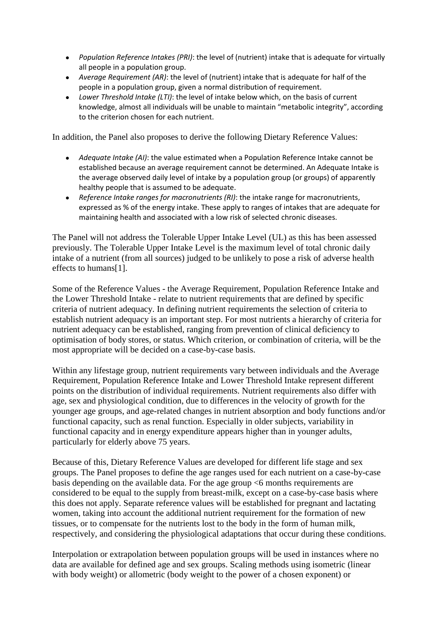- *Population Reference Intakes (PRI)*: the level of (nutrient) intake that is adequate for virtually all people in a population group.
- *Average Requirement (AR)*: the level of (nutrient) intake that is adequate for half of the people in a population group, given a normal distribution of requirement.
- *Lower Threshold Intake (LTI)*: the level of intake below which, on the basis of current knowledge, almost all individuals will be unable to maintain "metabolic integrity", according to the criterion chosen for each nutrient.

In addition, the Panel also proposes to derive the following Dietary Reference Values:

- *Adequate Intake (AI)*: the value estimated when a Population Reference Intake cannot be established because an average requirement cannot be determined. An Adequate Intake is the average observed daily level of intake by a population group (or groups) of apparently healthy people that is assumed to be adequate.
- *Reference Intake ranges for macronutrients (RI)*: the intake range for macronutrients, expressed as % of the energy intake. These apply to ranges of intakes that are adequate for maintaining health and associated with a low risk of selected chronic diseases.

The Panel will not address the Tolerable Upper Intake Level (UL) as this has been assessed previously. The Tolerable Upper Intake Level is the maximum level of total chronic daily intake of a nutrient (from all sources) judged to be unlikely to pose a risk of adverse health effects to humans[1].

Some of the Reference Values - the Average Requirement, Population Reference Intake and the Lower Threshold Intake - relate to nutrient requirements that are defined by specific criteria of nutrient adequacy. In defining nutrient requirements the selection of criteria to establish nutrient adequacy is an important step. For most nutrients a hierarchy of criteria for nutrient adequacy can be established, ranging from prevention of clinical deficiency to optimisation of body stores, or status. Which criterion, or combination of criteria, will be the most appropriate will be decided on a case-by-case basis.

Within any lifestage group, nutrient requirements vary between individuals and the Average Requirement, Population Reference Intake and Lower Threshold Intake represent different points on the distribution of individual requirements. Nutrient requirements also differ with age, sex and physiological condition, due to differences in the velocity of growth for the younger age groups, and age-related changes in nutrient absorption and body functions and/or functional capacity, such as renal function. Especially in older subjects, variability in functional capacity and in energy expenditure appears higher than in younger adults, particularly for elderly above 75 years.

Because of this, Dietary Reference Values are developed for different life stage and sex groups. The Panel proposes to define the age ranges used for each nutrient on a case-by-case basis depending on the available data. For the age group <6 months requirements are considered to be equal to the supply from breast-milk, except on a case-by-case basis where this does not apply. Separate reference values will be established for pregnant and lactating women, taking into account the additional nutrient requirement for the formation of new tissues, or to compensate for the nutrients lost to the body in the form of human milk, respectively, and considering the physiological adaptations that occur during these conditions.

Interpolation or extrapolation between population groups will be used in instances where no data are available for defined age and sex groups. Scaling methods using isometric (linear with body weight) or allometric (body weight to the power of a chosen exponent) or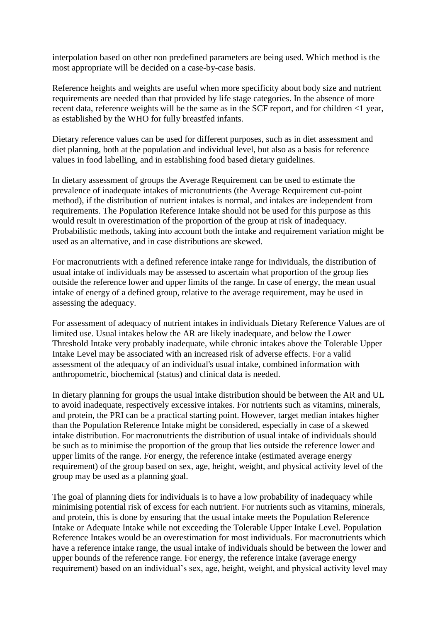interpolation based on other non predefined parameters are being used. Which method is the most appropriate will be decided on a case-by-case basis.

Reference heights and weights are useful when more specificity about body size and nutrient requirements are needed than that provided by life stage categories. In the absence of more recent data, reference weights will be the same as in the SCF report, and for children <1 year, as established by the WHO for fully breastfed infants.

Dietary reference values can be used for different purposes, such as in diet assessment and diet planning, both at the population and individual level, but also as a basis for reference values in food labelling, and in establishing food based dietary guidelines.

In dietary assessment of groups the Average Requirement can be used to estimate the prevalence of inadequate intakes of micronutrients (the Average Requirement cut-point method), if the distribution of nutrient intakes is normal, and intakes are independent from requirements. The Population Reference Intake should not be used for this purpose as this would result in overestimation of the proportion of the group at risk of inadequacy. Probabilistic methods, taking into account both the intake and requirement variation might be used as an alternative, and in case distributions are skewed.

For macronutrients with a defined reference intake range for individuals, the distribution of usual intake of individuals may be assessed to ascertain what proportion of the group lies outside the reference lower and upper limits of the range. In case of energy, the mean usual intake of energy of a defined group, relative to the average requirement, may be used in assessing the adequacy.

For assessment of adequacy of nutrient intakes in individuals Dietary Reference Values are of limited use. Usual intakes below the AR are likely inadequate, and below the Lower Threshold Intake very probably inadequate, while chronic intakes above the Tolerable Upper Intake Level may be associated with an increased risk of adverse effects. For a valid assessment of the adequacy of an individual's usual intake, combined information with anthropometric, biochemical (status) and clinical data is needed.

In dietary planning for groups the usual intake distribution should be between the AR and UL to avoid inadequate, respectively excessive intakes. For nutrients such as vitamins, minerals, and protein, the PRI can be a practical starting point. However, target median intakes higher than the Population Reference Intake might be considered, especially in case of a skewed intake distribution. For macronutrients the distribution of usual intake of individuals should be such as to minimise the proportion of the group that lies outside the reference lower and upper limits of the range. For energy, the reference intake (estimated average energy requirement) of the group based on sex, age, height, weight, and physical activity level of the group may be used as a planning goal.

The goal of planning diets for individuals is to have a low probability of inadequacy while minimising potential risk of excess for each nutrient. For nutrients such as vitamins, minerals, and protein, this is done by ensuring that the usual intake meets the Population Reference Intake or Adequate Intake while not exceeding the Tolerable Upper Intake Level. Population Reference Intakes would be an overestimation for most individuals. For macronutrients which have a reference intake range, the usual intake of individuals should be between the lower and upper bounds of the reference range. For energy, the reference intake (average energy requirement) based on an individual's sex, age, height, weight, and physical activity level may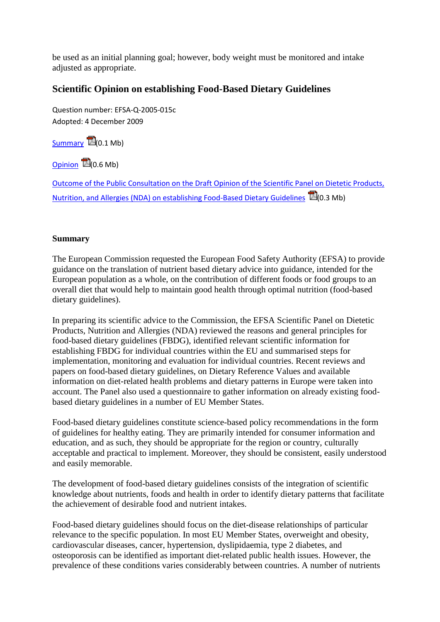be used as an initial planning goal; however, body weight must be monitored and intake adjusted as appropriate.

## **Scientific Opinion on establishing Food-Based Dietary Guidelines**

Question number: EFSA-Q-2005-015c Adopted: 4 December 2009

[Summary](http://www.efsa.europa.eu/en/scdocs/doc/s1460.pdf)  $\overline{\mathbb{E}}$ (0.1 Mb)

[Opinion](http://www.efsa.europa.eu/en/scdocs/doc/1460.pdf)  $\Box$  (0.6 Mb)

[Outcome of the Public Consultation on the Draft Opinion of the Scientific Panel on Dietetic Products,](http://www.efsa.europa.eu/en/scdocs/doc/1506.pdf)  [Nutrition, and Allergies \(NDA\) on establishing Food-Based Dietary Guidelines](http://www.efsa.europa.eu/en/scdocs/doc/1506.pdf) (20.3 Mb)

### **Summary**

The European Commission requested the European Food Safety Authority (EFSA) to provide guidance on the translation of nutrient based dietary advice into guidance, intended for the European population as a whole, on the contribution of different foods or food groups to an overall diet that would help to maintain good health through optimal nutrition (food-based dietary guidelines).

In preparing its scientific advice to the Commission, the EFSA Scientific Panel on Dietetic Products, Nutrition and Allergies (NDA) reviewed the reasons and general principles for food-based dietary guidelines (FBDG), identified relevant scientific information for establishing FBDG for individual countries within the EU and summarised steps for implementation, monitoring and evaluation for individual countries. Recent reviews and papers on food-based dietary guidelines, on Dietary Reference Values and available information on diet-related health problems and dietary patterns in Europe were taken into account. The Panel also used a questionnaire to gather information on already existing foodbased dietary guidelines in a number of EU Member States.

Food-based dietary guidelines constitute science-based policy recommendations in the form of guidelines for healthy eating. They are primarily intended for consumer information and education, and as such, they should be appropriate for the region or country, culturally acceptable and practical to implement. Moreover, they should be consistent, easily understood and easily memorable.

The development of food-based dietary guidelines consists of the integration of scientific knowledge about nutrients, foods and health in order to identify dietary patterns that facilitate the achievement of desirable food and nutrient intakes.

Food-based dietary guidelines should focus on the diet-disease relationships of particular relevance to the specific population. In most EU Member States, overweight and obesity, cardiovascular diseases, cancer, hypertension, dyslipidaemia, type 2 diabetes, and osteoporosis can be identified as important diet-related public health issues. However, the prevalence of these conditions varies considerably between countries. A number of nutrients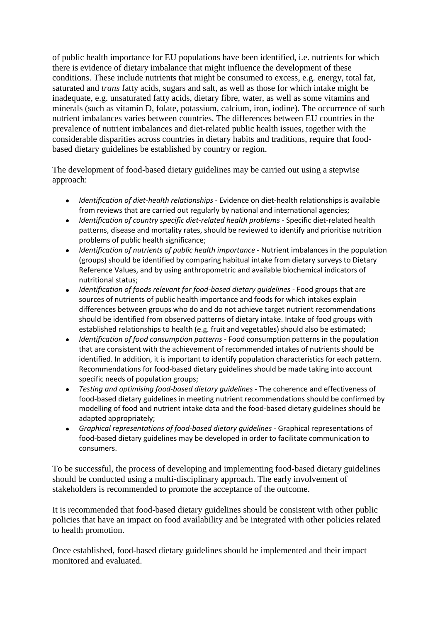of public health importance for EU populations have been identified, i.e. nutrients for which there is evidence of dietary imbalance that might influence the development of these conditions. These include nutrients that might be consumed to excess, e.g. energy, total fat, saturated and *trans* fatty acids, sugars and salt, as well as those for which intake might be inadequate, e.g. unsaturated fatty acids, dietary fibre, water, as well as some vitamins and minerals (such as vitamin D, folate, potassium, calcium, iron, iodine). The occurrence of such nutrient imbalances varies between countries. The differences between EU countries in the prevalence of nutrient imbalances and diet-related public health issues, together with the considerable disparities across countries in dietary habits and traditions, require that foodbased dietary guidelines be established by country or region.

The development of food-based dietary guidelines may be carried out using a stepwise approach:

- *Identification of diet-health relationships*  Evidence on diet-health relationships is available from reviews that are carried out regularly by national and international agencies;
- *Identification of country specific diet-related health problems*  Specific diet-related health patterns, disease and mortality rates, should be reviewed to identify and prioritise nutrition problems of public health significance;
- *Identification of nutrients of public health importance*  Nutrient imbalances in the population (groups) should be identified by comparing habitual intake from dietary surveys to Dietary Reference Values, and by using anthropometric and available biochemical indicators of nutritional status;
- Identification of foods relevant for food-based dietary quidelines Food groups that are sources of nutrients of public health importance and foods for which intakes explain differences between groups who do and do not achieve target nutrient recommendations should be identified from observed patterns of dietary intake. Intake of food groups with established relationships to health (e.g. fruit and vegetables) should also be estimated;
- *Identification of food consumption patterns*  Food consumption patterns in the population that are consistent with the achievement of recommended intakes of nutrients should be identified. In addition, it is important to identify population characteristics for each pattern. Recommendations for food-based dietary guidelines should be made taking into account specific needs of population groups;
- *Testing and optimising food-based dietary guidelines*  The coherence and effectiveness of food-based dietary guidelines in meeting nutrient recommendations should be confirmed by modelling of food and nutrient intake data and the food-based dietary guidelines should be adapted appropriately;
- *Graphical representations of food-based dietary guidelines*  Graphical representations of food-based dietary guidelines may be developed in order to facilitate communication to consumers.

To be successful, the process of developing and implementing food-based dietary guidelines should be conducted using a multi-disciplinary approach. The early involvement of stakeholders is recommended to promote the acceptance of the outcome.

It is recommended that food-based dietary guidelines should be consistent with other public policies that have an impact on food availability and be integrated with other policies related to health promotion.

Once established, food-based dietary guidelines should be implemented and their impact monitored and evaluated.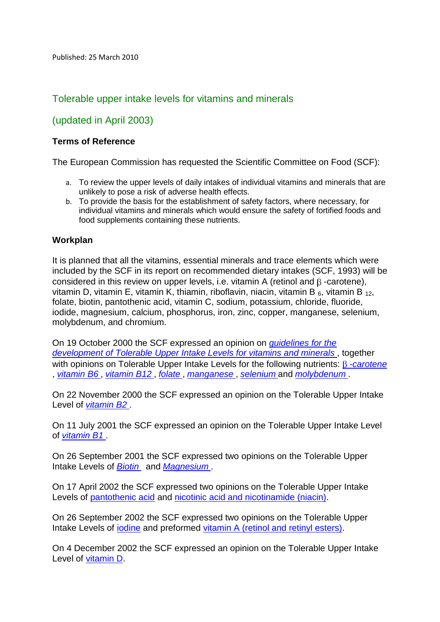# Tolerable upper intake levels for vitamins and minerals

# (updated in April 2003)

### **Terms of Reference**

The European Commission has requested the Scientific Committee on Food (SCF):

- a. To review the upper levels of daily intakes of individual vitamins and minerals that are unlikely to pose a risk of adverse health effects.
- b. To provide the basis for the establishment of safety factors, where necessary, for individual vitamins and minerals which would ensure the safety of fortified foods and food supplements containing these nutrients.

### **Workplan**

It is planned that all the vitamins, essential minerals and trace elements which were included by the SCF in its report on recommended dietary intakes (SCF, 1993) will be considered in this review on upper levels, i.e. vitamin A (retinol and  $\beta$ -carotene), vitamin D, vitamin E, vitamin K, thiamin, riboflavin, niacin, vitamin B  $_6$ , vitamin B  $_{12}$ , folate, biotin, pantothenic acid, vitamin C, sodium, potassium, chloride, fluoride, iodide, magnesium, calcium, phosphorus, iron, zinc, copper, manganese, selenium, molybdenum, and chromium.

On 19 October 2000 the SCF expressed an opinion on *[guidelines for the](http://ec.europa.eu/food/fs/sc/scf/out80a_en.pdf)  [development of Tolerable Upper Intake Levels for vitamins and minerals](http://ec.europa.eu/food/fs/sc/scf/out80a_en.pdf)* , together with opinions on Tolerable Upper Intake Levels for the following nutrients:  $\beta$  [-carotene](http://ec.europa.eu/food/fs/sc/scf/out80b_en.pdf) , *[vitamin B6](http://ec.europa.eu/food/fs/sc/scf/out80c_en.pdf)* , *[vitamin B12](http://ec.europa.eu/food/fs/sc/scf/out80d_en.pdf)* , *[folate](http://ec.europa.eu/food/fs/sc/scf/out80e_en.pdf)* , *[manganese](http://ec.europa.eu/food/fs/sc/scf/out80f_en.pdf)* , *[selenium](http://ec.europa.eu/food/fs/sc/scf/out80g_en.pdf)* and *[molybdenum](http://ec.europa.eu/food/fs/sc/scf/out80h_en.pdf)* .

On 22 November 2000 the SCF expressed an opinion on the Tolerable Upper Intake Level of *[vitamin B2](http://ec.europa.eu/food/fs/sc/scf/out80i_en.pdf)* .

On 11 July 2001 the SCF expressed an opinion on the Tolerable Upper Intake Level of *[vitamin B1](http://ec.europa.eu/food/fs/sc/scf/out93_en.pdf)* .

On 26 September 2001 the SCF expressed two opinions on the Tolerable Upper Intake Levels of *[Biotin](http://ec.europa.eu/food/fs/sc/scf/out106_en.pdf)* and *[Magnesium](http://ec.europa.eu/food/fs/sc/scf/out105_en.pdf)* .

On 17 April 2002 the SCF expressed two opinions on the Tolerable Upper Intake Levels of [pantothenic acid](http://ec.europa.eu/food/fs/sc/scf/out80k_en.pdf) and [nicotinic acid and nicotinamide \(niacin\).](http://ec.europa.eu/food/fs/sc/scf/out80j_en.pdf)

On 26 September 2002 the SCF expressed two opinions on the Tolerable Upper Intake Levels of [iodine](http://ec.europa.eu/food/fs/sc/scf/out146_en.pdf) and preformed [vitamin A \(retinol and retinyl esters\).](http://ec.europa.eu/food/fs/sc/scf/out145_en.pdf)

On 4 December 2002 the SCF expressed an opinion on the Tolerable Upper Intake Level of [vitamin D.](http://ec.europa.eu/food/fs/sc/scf/out157_en.pdf)